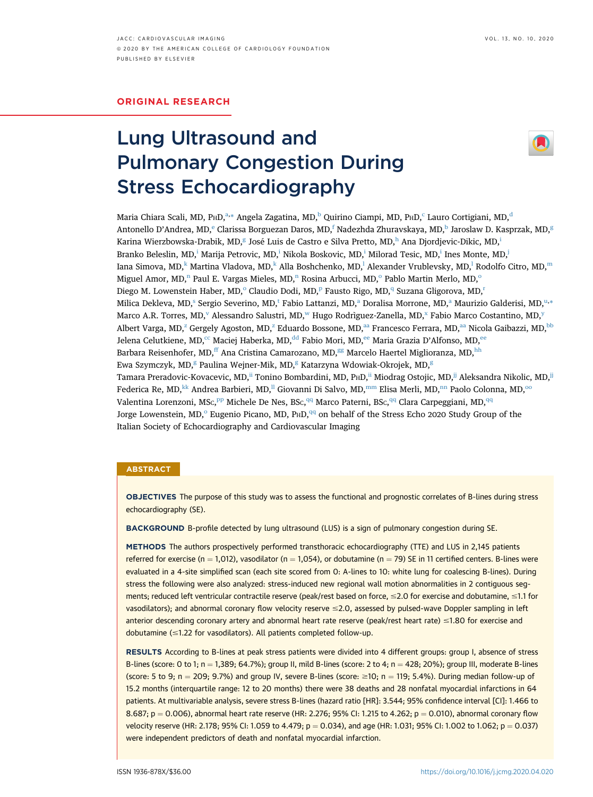# ORIGINAL RESEARCH

# Lung Ultrasound and Pulmonary Congestion During Stress Echocardiography



M[a](#page-1-0)ria Chiara S[c](#page-1-2)ali, MD, P $\text{\tiny{HHD}}^{a,*}$  $\text{\tiny{HHD}}^{a,*}$  $\text{\tiny{HHD}}^{a,*}$  Angela Zagatina, MD, $^{\rm b}$  $^{\rm b}$  $^{\rm b}$  Quirino Ciampi, MD,  $\text{\tiny{PHD}}^{\text{\tiny{c}}}$  Lauro Cortigiani, MD, $^{\rm d}$  $^{\rm d}$  $^{\rm d}$ Anton[e](#page-1-3)llo D'Andrea, MD,<sup>e</sup> Clarissa Borguezan Daros, MD,<sup>[f](#page-1-4)</sup> Nadezhda Zhuravskaya, MD,<sup>b</sup> Jaroslaw D. Kasprzak, MD,<sup>[g](#page-1-5)</sup> Karina Wierzbowska-Drabik, MD,<sup>[g](#page-1-5)</sup> José Luis de Castro e Silva Pretto, MD,<sup>[h](#page-1-5)</sup> Ana Djordjev[i](#page-1-6)c-Dikic, MD,<sup>i</sup> Branko Belesl[i](#page-1-6)n, MD,<sup>i</sup> Marija Petrovic, MD,<sup>i</sup> Nikola Boskovic, MD,<sup>i</sup> Milorad Tesic, MD,<sup>i</sup> Ines Monte, MD,<sup>i</sup> Iana Simova, MD,<sup>[k](#page-1-8)</sup> Martina V[l](#page-1-9)adova, MD,<sup>k</sup> Alla Boshchenko, MD,<sup>l</sup> Alexander Vrublevsky, MD,<sup>l</sup> Rodolfo Citro, MD,<sup>[m](#page-1-10)</sup> Miguel Amor, MD,<sup>[n](#page-1-11)</sup> Paul E. Vargas Mieles, MD,<sup>n</sup> R[o](#page-1-12)sina Arbucci, MD,<sup>o</sup> Pablo Martin Merlo, MD,<sup>o</sup> Dieg[o](#page-1-12) M. Lowenstein Haber, MD,<su[p](#page-1-12)>o</sup> Claudio Dodi, MD,<sup>p</sup> Fausto Rigo, MD,<sup>[q](#page-1-13)</sup> Suzana Gligo[r](#page-1-13)ova, MD,<sup>r</sup> Milica Dekleva, MD,<[s](#page-1-14)up>s</sup> Sergio Severino, MD,<sup>[t](#page-1-15)</sup> F[a](#page-1-0)bio Lattanzi, MD,<s[u](#page-1-15)p>a</sup> Doralisa Morrone, MD,<sup>a</sup> Maurizio Galderisi, MD,<sup>u,</sup>[\\*](#page-1-1) Marco A.R. Torres, MD,<sup>[v](#page-1-16)</sup> Alessandro Salustri, MD,<sup>w</sup> Hugo Rodrìguez-Zanella, MD,<sup>x</sup> Fabio Marco Costantino, MD,<sup>[y](#page-1-18)</sup> Albert Varga, MD,<sup>[z](#page-1-19)</sup> Gergely Agoston, MD,<sup>z</sup> Eduardo Bossone, MD,<sup>[aa](#page-1-19)</sup> Francesco Ferrara, MD,<sup>aa</sup> Nicola Gaibazzi, MD,<sup>[bb](#page-1-20)</sup> Jelena Celutkiene, MD,<sup>[cc](#page-1-21)</sup> Maciej Haberka, MD,<sup>[dd](#page-1-22)</sup> Fabio Mori, MD,<sup>[ee](#page-1-23)</sup> Maria Grazia D'Alfonso, MD,<sup>ee</sup> Barbara Reisenhofer, MD,<sup>[ff](#page-1-24)</sup> Ana Cristina Camarozano, MD,<sup>[gg](#page-1-24)</sup> Marcelo Haertel Miglioranza, MD,<sup>[hh](#page-1-25)</sup> Ewa Szymczyk, MD,<sup>[g](#page-1-5)</sup> Paulina Wejner-Mik, MD,<sup>g</sup> Katarzyna Wdowiak-Okrojek, MD,<sup>g</sup> Tamara Preradovic-Kovacevic, MD,<sup>[ii](#page-1-26)</sup> Tonino Bombardini, MD, P<sub>H</sub>D,<sup>ii</sup> Miodrag Ostojic, MD,<sup>ij</sup> Aleksandra Nikolic, MD,<sup>ij</sup> Federica Re, MD, [kk](#page-1-27) Andrea Barbieri, MD,<sup>[ll](#page-1-28)</sup> Giovanni Di Salvo, MD,<sup>[mm](#page-1-29)</sup> Elisa Merli, MD,<sup>[nn](#page-1-30)</sup> Paolo Colonna, MD,<sup>[oo](#page-1-30)</sup> Valentina Lorenzoni, MSc,<sup>[pp](#page-1-31)</sup> Michele De Nes, BSc,<sup>[qq](#page-1-1)</sup> Marco Paterni, BSc,<sup>qq</sup> Clara Carpeggiani, MD,<sup>qq</sup> J[o](#page-1-12)rge Lowenstein, MD, $^{\circ}$  Eugenio Picano, MD, P $HD$ ,  $^{qq}$  $^{qq}$  $^{qq}$  on behalf of the Stress Echo 2020 Study Group of the Italian Society of Echocardiography and Cardiovascular Imaging

#### **ABSTRACT**

OBJECTIVES The purpose of this study was to assess the functional and prognostic correlates of B-lines during stress echocardiography (SE).

BACKGROUND B-profile detected by lung ultrasound (LUS) is a sign of pulmonary congestion during SE.

METHODS The authors prospectively performed transthoracic echocardiography (TTE) and LUS in 2,145 patients referred for exercise (n = 1,012), vasodilator (n = 1,054), or dobutamine (n = 79) SE in 11 certified centers. B-lines were evaluated in a 4-site simplified scan (each site scored from 0: A-lines to 10: white lung for coalescing B-lines). During stress the following were also analyzed: stress-induced new regional wall motion abnormalities in 2 contiguous segments; reduced left ventricular contractile reserve (peak/rest based on force, ≤2.0 for exercise and dobutamine, ≤1.1 for vasodilators); and abnormal coronary flow velocity reserve  $\leq$ 2.0, assessed by pulsed-wave Doppler sampling in left anterior descending coronary artery and abnormal heart rate reserve (peak/rest heart rate) ≤1.80 for exercise and dobutamine  $(\leq1.22$  for vasodilators). All patients completed follow-up.

RESULTS According to B-lines at peak stress patients were divided into 4 different groups: group I, absence of stress B-lines (score: 0 to 1; n = 1,389; 64.7%); group II, mild B-lines (score: 2 to 4; n = 428; 20%); group III, moderate B-lines (score: 5 to 9; n = 209; 9.7%) and group IV, severe B-lines (score:  $\geq 10$ ; n = 119; 5.4%). During median follow-up of 15.2 months (interquartile range: 12 to 20 months) there were 38 deaths and 28 nonfatal myocardial infarctions in 64 patients. At multivariable analysis, severe stress B-lines (hazard ratio [HR]: 3.544; 95% confidence interval [CI]: 1.466 to 8.687; p = 0.006), abnormal heart rate reserve (HR: 2.276; 95% CI: 1.215 to 4.262; p = 0.010), abnormal coronary flow velocity reserve (HR: 2.178; 95% CI: 1.059 to 4.479;  $p = 0.034$ ), and age (HR: 1.031; 95% CI: 1.002 to 1.062;  $p = 0.037$ ) were independent predictors of death and nonfatal myocardial infarction.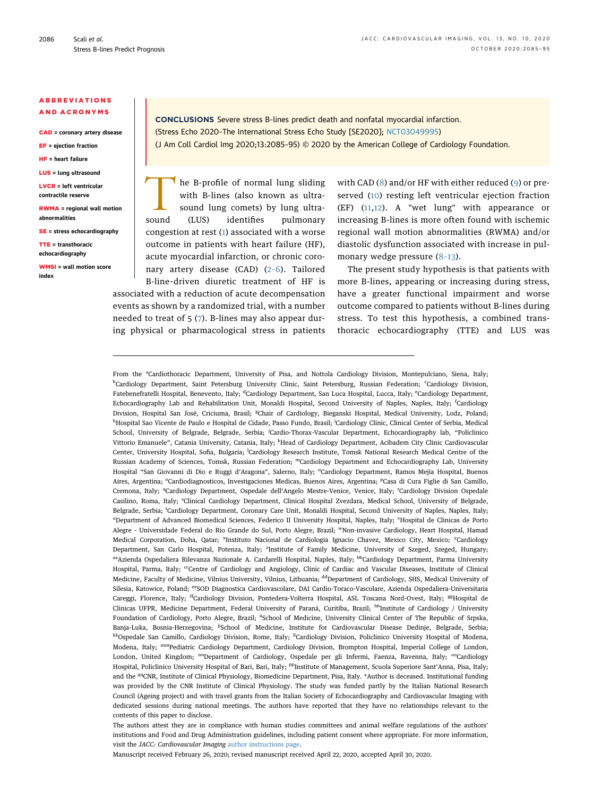### ABBREVIATIONS AND ACRONYMS

CAD = coronary artery disease

EF = ejection fraction HF = heart failure

LUS = lung ultrasound

LVCR = left ventricular contractile reserve

RWMA = regional wall motion abnormalities

SE = stress echocardiography

TTE = transthoracic echocardiography

WMSI = wall motion score index

CONCLUSIONS Severe stress B-lines predict death and nonfatal myocardial infarction. (Stress Echo 2020–The International Stress Echo Study [SE2020]; [NCT03049995](https://clinicaltrials.gov/ct2/show/NCT03049995)) (J Am Coll Cardiol Img 2020;13:2085–95) © 2020 by the American College of Cardiology Foundation.

The B-profile of normal lung sliding<br>with B-lines (also known as ultra-<br>sound (LUS) identifies pulmonary with B-lines (also known as ultrasound lung comets) by lung ultrasound (LUS) identifies pulmonary congestion at rest ([1](#page-9-0)) associated with a worse outcome in patients with heart failure (HF), acute myocardial infarction, or chronic coronary artery disease (CAD) (2–[6\)](#page-9-1). Tailored B-line–driven diuretic treatment of HF is associated with a reduction of acute decompensation

events as shown by a randomized trial, with a number needed to treat of 5 ([7](#page-9-2)). B-lines may also appear during physical or pharmacological stress in patients with CAD ([8\)](#page-9-3) and/or HF with either reduced ([9\)](#page-9-4) or preserved [\(10\)](#page-9-5) resting left ventricular ejection fraction (EF) ([11](#page-10-0),[12](#page-10-1)). A "wet lung" with appearance or increasing B-lines is more often found with ischemic regional wall motion abnormalities (RWMA) and/or diastolic dysfunction associated with increase in pulmonary wedge pressure (8–[13\)](#page-9-3).

The present study hypothesis is that patients with more B-lines, appearing or increasing during stress, have a greater functional impairment and worse outcome compared to patients without B-lines during stress. To test this hypothesis, a combined transthoracic echocardiography (TTE) and LUS was

<span id="page-1-19"></span><span id="page-1-18"></span><span id="page-1-17"></span><span id="page-1-16"></span><span id="page-1-15"></span><span id="page-1-14"></span><span id="page-1-13"></span><span id="page-1-12"></span><span id="page-1-11"></span><span id="page-1-10"></span><span id="page-1-9"></span><span id="page-1-8"></span><span id="page-1-7"></span><span id="page-1-6"></span><span id="page-1-5"></span><span id="page-1-4"></span><span id="page-1-3"></span><span id="page-1-2"></span><span id="page-1-0"></span>From the <sup>a</sup>Cardiothoracic Department, University of Pisa, and Nottola Cardiology Division, Montepulciano, Siena, Italy; <sup>b</sup>Cardiology Department, Saint Petersburg University Clinic, Saint Petersburg, Russian Federation; Cardiology Division, Fatebenefratelli Hospital, Benevento, Italy; <sup>d</sup>Cardiology Department, San Luca Hospital, Lucca, Italy; <sup>e</sup>Cardiology Department, Echocardiography Lab and Rehabilitation Unit, Monaldi Hospital, Second University of Naples, Naples, Italy; <sup>f</sup>Cardiology Division, Hospital San José, Criciuma, Brasil; <sup>g</sup>Chair of Cardiology, Bieganski Hospital, Medical University, Lodz, Poland; <sup>h</sup>Hospital Sao Vicente de Paulo e Hospital de Cidade, Passo Fundo, Brasil; <sup>i</sup>Cardiology Clinic, Clinical Center of Serbia, Medical School, University of Belgrade, Belgrade, Serbia; <sup>j</sup>Cardio-Thorax-Vascular Department, Echocardiography lab, "Policlinico Vittorio Emanuele", Catania University, Catania, Italy; <sup>k</sup>Head of Cardiology Department, Acibadem City Clinic Cardiovascular Center, University Hospital, Sofia, Bulgaria; <sup>l</sup>Cardiology Research Institute, Tomsk National Research Medical Centre of the Russian Academy of Sciences, Tomsk, Russian Federation; mCardiology Department and Echocardiography Lab, University Hospital "San Giovanni di Dio e Ruggi d'Aragona", Salerno, Italy; <sup>n</sup>Cardiology Department, Ramos Mejia Hospital, Buenos Aires, Argentina; <sup>o</sup>Cardiodiagnosticos, Investigaciones Medicas, Buenos Aires, Argentina; <sup>p</sup>Casa di Cura Figlie di San Camillo, Cremona, Italy; <sup>q</sup>Cardiology Department, Ospedale dell'Angelo Mestre-Venice, Venice, Italy; <sup>r</sup>Cardiology Division Ospedale Casilino, Roma, Italy; <sup>s</sup>Clinical Cardiology Department, Clinical Hospital Zvezdara, Medical School, University of Belgrade, Belgrade, Serbia; <sup>t</sup>Cardiology Department, Coronary Care Unit, Monaldi Hospital, Second University of Naples, Naples, Italy; <sup>u</sup>Department of Advanced Biomedical Sciences, Federico II University Hospital, Naples, Italy; <sup>v</sup>Hospital de Clinicas de Porto Alegre - Universidade Federal do Rio Grande do Sul, Porto Alegre, Brazil; wNon-invasive Cardiology, Heart Hospital, Hamad Medical Corporation, Doha, Qatar; <sup>x</sup>Instituto Nacional de Cardiologia Ignacio Chavez, Mexico City, Mexico; <sup>y</sup>Cardiology Department, San Carlo Hospital, Potenza, Italy; <sup>z</sup>Institute of Family Medicine, University of Szeged, Szeged, Hungary; aaAzienda Ospedaliera Rilevanza Nazionale A. Cardarelli Hospital, Naples, Italy; bbCardiology Department, Parma University Hospital, Parma, Italy; <sup>cc</sup>Centre of Cardiology and Angiology, Clinic of Cardiac and Vascular Diseases, Institute of Clinical Medicine, Faculty of Medicine, Vilnius University, Vilnius, Lithuania; <sup>dd</sup>Department of Cardiology, SHS, Medical University of Silesia, Katowice, Poland; eeSOD Diagnostica Cardiovascolare, DAI Cardio-Toraco-Vascolare, Azienda Ospedaliera-Universitaria Careggi, Florence, Italy; <sup>ff</sup>Cardiology Division, Pontedera-Volterra Hospital, ASL Toscana Nord-Ovest, Italy; <sup>gg</sup>Hospital de Clinicas UFPR, Medicine Department, Federal University of Paranà, Curitiba, Brazil; hhInstitute of Cardiology / University Foundation of Cardiology, Porto Alegre, Brazil; iiSchool of Medicine, University Clinical Center of The Republic of Srpska, Banja-Luka, Bosnia-Herzegovina; <sup>jj</sup>School of Medicine, Institute for Cardiovascular Disease Dedinje, Belgrade, Serbia; kkOspedale San Camillo, Cardiology Division, Rome, Italy; <sup>II</sup>Cardiology Division, Policlinico University Hospital of Modena, Modena, Italy; mmPediatric Cardiology Department, Cardiology Division, Brompton Hospital, Imperial College of London, London, United Kingdom; <sup>nn</sup>Department of Cardiology, Ospedale per gli Infermi, Faenza, Ravenna, Italy; <sup>oo</sup>Cardiology Hospital, Policlinico University Hospital of Bari, Bari, Italy; <sup>pp</sup>Institute of Management, Scuola Superiore Sant'Anna, Pisa, Italy; and the <sup>qq</sup>CNR, Institute of Clinical Physiology, Biomedicine Department, Pisa, Italy. \*Author is deceased. Institutional funding was provided by the CNR Institute of Clinical Physiology. The study was funded partly by the Italian National Research Council (Ageing project) and with travel grants from the Italian Society of Echocardiography and Cardiovascular Imaging with dedicated sessions during national meetings. The authors have reported that they have no relationships relevant to the contents of this paper to disclose.

<span id="page-1-31"></span><span id="page-1-30"></span><span id="page-1-29"></span><span id="page-1-28"></span><span id="page-1-27"></span><span id="page-1-26"></span><span id="page-1-25"></span><span id="page-1-24"></span><span id="page-1-23"></span><span id="page-1-22"></span><span id="page-1-21"></span><span id="page-1-20"></span><span id="page-1-1"></span>The authors attest they are in compliance with human studies committees and animal welfare regulations of the authors' institutions and Food and Drug Administration guidelines, including patient consent where appropriate. For more information, visit the JACC: Cardiovascular Imaging [author instructions page](http://imaging.onlinejacc.org/content/instructions-authors).

Manuscript received February 26, 2020; revised manuscript received April 22, 2020, accepted April 30, 2020.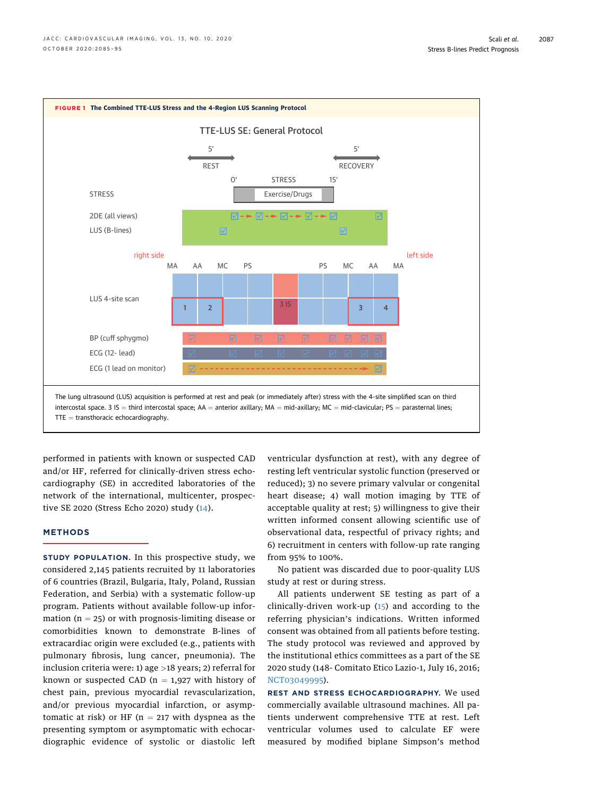<span id="page-2-0"></span>

performed in patients with known or suspected CAD and/or HF, referred for clinically-driven stress echocardiography (SE) in accredited laboratories of the network of the international, multicenter, prospective SE 2020 (Stress Echo 2020) study ([14](#page-10-2)).

# **METHODS**

STUDY POPULATION. In this prospective study, we considered 2,145 patients recruited by 11 laboratories of 6 countries (Brazil, Bulgaria, Italy, Poland, Russian Federation, and Serbia) with a systematic follow-up program. Patients without available follow-up information ( $n = 25$ ) or with prognosis-limiting disease or comorbidities known to demonstrate B-lines of extracardiac origin were excluded (e.g., patients with pulmonary fibrosis, lung cancer, pneumonia). The inclusion criteria were: 1) age >18 years; 2) referral for known or suspected CAD ( $n = 1.927$  with history of chest pain, previous myocardial revascularization, and/or previous myocardial infarction, or asymptomatic at risk) or HF ( $n = 217$  with dyspnea as the presenting symptom or asymptomatic with echocardiographic evidence of systolic or diastolic left

ventricular dysfunction at rest), with any degree of resting left ventricular systolic function (preserved or reduced); 3) no severe primary valvular or congenital heart disease; 4) wall motion imaging by TTE of acceptable quality at rest; 5) willingness to give their written informed consent allowing scientific use of observational data, respectful of privacy rights; and 6) recruitment in centers with follow-up rate ranging from 95% to 100%.

No patient was discarded due to poor-quality LUS study at rest or during stress.

All patients underwent SE testing as part of a clinically-driven work-up ([15\)](#page-10-3) and according to the referring physician's indications. Written informed consent was obtained from all patients before testing. The study protocol was reviewed and approved by the institutional ethics committees as a part of the SE 2020 study (148- Comitato Etico Lazio-1, July 16, 2016; [NCT03049995](https://clinicaltrials.gov/ct2/show/NCT03049995)).

REST AND STRESS ECHOCARDIOGRAPHY. We used commercially available ultrasound machines. All patients underwent comprehensive TTE at rest. Left ventricular volumes used to calculate EF were measured by modified biplane Simpson's method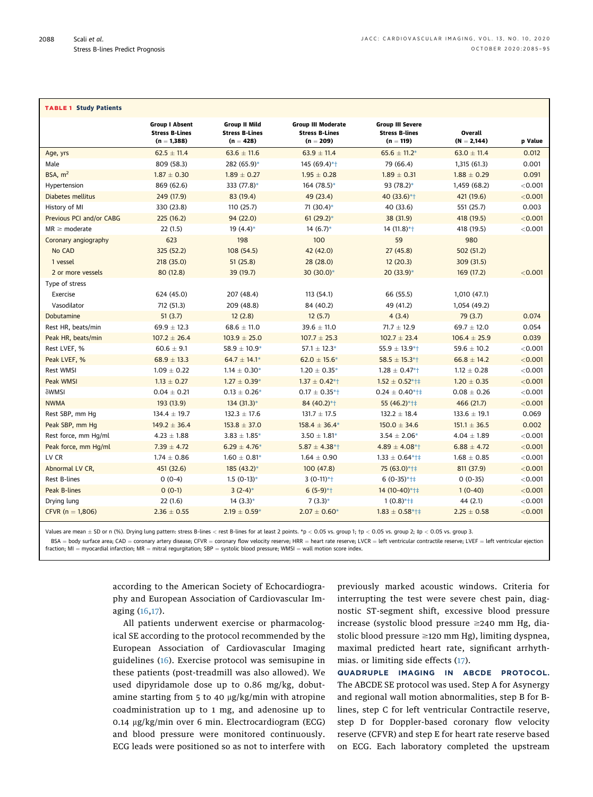<span id="page-3-0"></span>

| <b>TABLE 1 Study Patients</b> |                                                |                                               |                                                    |                                                  |                  |                |
|-------------------------------|------------------------------------------------|-----------------------------------------------|----------------------------------------------------|--------------------------------------------------|------------------|----------------|
|                               |                                                |                                               |                                                    |                                                  |                  |                |
|                               | <b>Group I Absent</b><br><b>Stress B-Lines</b> | <b>Group II Mild</b><br><b>Stress B-Lines</b> | <b>Group III Moderate</b><br><b>Stress B-Lines</b> | <b>Group III Severe</b><br><b>Stress B-lines</b> | Overall          |                |
|                               | $(n = 1,388)$                                  | $(n = 428)$                                   | $(n = 209)$                                        | $(n = 119)$                                      | $(N = 2,144)$    | <b>p</b> Value |
| Age, yrs                      | $62.5 \pm 11.4$                                | $63.6 \pm 11.6$                               | $63.9 \pm 11.4$                                    | $65.6 \pm 11.2*$                                 | $63.0 \pm 11.4$  | 0.012          |
| Male                          | 809 (58.3)                                     | 282 (65.9)*                                   | 145 (69.4)*†                                       | 79 (66.4)                                        | 1,315 (61.3)     | 0.001          |
| BSA, $m2$                     | $1.87 \pm 0.30$                                | $1.89 \pm 0.27$                               | $1.95 \pm 0.28$                                    | $1.89 \pm 0.31$                                  | $1.88 \pm 0.29$  | 0.091          |
| Hypertension                  | 869 (62.6)                                     | 333 (77.8)*                                   | 164 (78.5)*                                        | 93 (78.2)*                                       | 1,459 (68.2)     | < 0.001        |
| Diabetes mellitus             | 249 (17.9)                                     | 83 (19.4)                                     | 49 (23.4)                                          | 40 (33.6)*+                                      | 421 (19.6)       | < 0.001        |
| History of MI                 | 330 (23.8)                                     | 110 (25.7)                                    | 71 (30.4)*                                         | 40 (33.6)                                        | 551 (25.7)       | 0.003          |
| Previous PCI and/or CABG      | 225(16.2)                                      | 94 (22.0)                                     | $61(29.2)$ *                                       | 38 (31.9)                                        | 418 (19.5)       | < 0.001        |
| $MR \geq$ moderate            | 22(1.5)                                        | $19(4.4)$ *                                   | $14(6.7)$ *                                        | $14(11.8)*+$                                     | 418 (19.5)       | < 0.001        |
| Coronary angiography          | 623                                            | 198                                           | 100                                                | 59                                               | 980              |                |
| No CAD                        | 325 (52.2)                                     | 108 (54.5)                                    | 42 (42.0)                                          | 27(45.8)                                         | 502 (51.2)       |                |
| 1 vessel                      | 218(35.0)                                      | 51(25.8)                                      | 28 (28.0)                                          | 12(20.3)                                         | 309 (31.5)       |                |
| 2 or more vessels             | 80 (12.8)                                      | 39 (19.7)                                     | 30 (30.0)*                                         | 20 (33.9)*                                       | 169 (17.2)       | < 0.001        |
| Type of stress                |                                                |                                               |                                                    |                                                  |                  |                |
| Exercise                      | 624 (45.0)                                     | 207 (48.4)                                    | 113 (54.1)                                         | 66 (55.5)                                        | 1,010 (47.1)     |                |
| Vasodilator                   | 712 (51.3)                                     | 209 (48.8)                                    | 84 (40.2)                                          | 49 (41.2)                                        | 1,054 (49.2)     |                |
| Dobutamine                    | 51(3.7)                                        | 12(2.8)                                       | 12(5.7)                                            | 4(3.4)                                           | 79(3.7)          | 0.074          |
| Rest HR, beats/min            | $69.9 \pm 12.3$                                | $68.6 \pm 11.0$                               | $39.6 \pm 11.0$                                    | $71.7 \pm 12.9$                                  | $69.7 \pm 12.0$  | 0.054          |
| Peak HR, beats/min            | $107.2 \pm 26.4$                               | $103.9 \pm 25.0$                              | $107.7 \pm 25.3$                                   | $102.7 \pm 23.4$                                 | $106.4 \pm 25.9$ | 0.039          |
| Rest LVEF, %                  | $60.6 \pm 9.1$                                 | $58.9 \pm 10.9*$                              | $57.1 \pm 12.3*$                                   | $55.9 \pm 13.9$ *1                               | 59.6 $\pm$ 10.2  | < 0.001        |
| Peak LVEF, %                  | $68.9 \pm 13.3$                                | $64.7 \pm 14.1*$                              | $62.0 \pm 15.6*$                                   | $58.5 \pm 15.3$ *†                               | $66.8 \pm 14.2$  | < 0.001        |
| <b>Rest WMSI</b>              | $1.09 \pm 0.22$                                | $1.14 \pm 0.30*$                              | $1.20 \pm 0.35*$                                   | $1.28 \pm 0.47$ <sup>*†</sup>                    | $1.12 \pm 0.28$  | < 0.001        |
| Peak WMSI                     | $1.13 \pm 0.27$                                | $1.27 \pm 0.39*$                              | $1.37 \pm 0.42$ *†                                 | $1.52 \pm 0.52$ *†‡                              | $1.20 \pm 0.35$  | < 0.001        |
| δWMSI                         | $0.04 \pm 0.21$                                | $0.13 \pm 0.26*$                              | $0.17 \pm 0.35$ *†                                 | $0.24 \pm 0.40$ *†‡                              | $0.08 \pm 0.26$  | < 0.001        |
| <b>NWMA</b>                   | 193 (13.9)                                     | $134(31.3)*$                                  | 84 (40.2)*+                                        | 55 (46.2)*†‡                                     | 466 (21.7)       | < 0.001        |
| Rest SBP, mm Hq               | $134.4 \pm 19.7$                               | $132.3 \pm 17.6$                              | $131.7 \pm 17.5$                                   | $132.2 \pm 18.4$                                 | $133.6 \pm 19.1$ | 0.069          |
| Peak SBP, mm Hq               | $149.2 \pm 36.4$                               | $153.8 \pm 37.0$                              | $158.4 \pm 36.4*$                                  | $150.0 \pm 34.6$                                 | $151.1 \pm 36.5$ | 0.002          |
| Rest force, mm Hg/ml          | $4.23 \pm 1.88$                                | $3.83 \pm 1.85*$                              | $3.50 \pm 1.81*$                                   | $3.54 \pm 2.06*$                                 | $4.04 \pm 1.89$  | < 0.001        |
| Peak force, mm Hg/ml          | $7.39 \pm 4.72$                                | $6.29 \pm 4.76*$                              | $5.87 \pm 4.38$ *†                                 | $4.89 \pm 4.08$ * †                              | $6.88 \pm 4.72$  | < 0.001        |
| LV CR                         | $1.74 \pm 0.86$                                | $1.60 \pm 0.81*$                              | $1.64 \pm 0.90$                                    | $1.33 \pm 0.64$ *†‡                              | $1.68 \pm 0.85$  | $<$ 0.001      |
| Abnormal LV CR,               | 451 (32.6)                                     | 185 (43.2)*                                   | 100(47.8)                                          | 75 (63.0)*†‡                                     | 811 (37.9)       | < 0.001        |
| Rest B-lines                  | $0(0-4)$                                       | $1.5(0-13)*$                                  | $3(0-11)*+$                                        | $6(0-35)*+1+$                                    | $0(0-35)$        | < 0.001        |
| Peak B-lines                  | $0(0-1)$                                       | $3(2-4)*$                                     | $6(5-9)*+$                                         | 14 (10-40)*†‡                                    | $1(0-40)$        | < 0.001        |
| Drying lung                   | 22(1.6)                                        | $14(3.3)*$                                    | $7(3.3)*$                                          | $1(0.8)$ *†‡                                     | 44 (2.1)         | $<$ 0.001      |
| CFVR ( $n = 1,806$ )          | $2.36 \pm 0.55$                                | $2.19 \pm 0.59*$                              | $2.07 \pm 0.60*$                                   | $1.83 \pm 0.58$ *†‡                              | $2.25 \pm 0.58$  | < 0.001        |

Values are mean  $\pm$  SD or n (%). Drying lung pattern: stress B-lines  $<$  rest B-lines for at least 2 points. \*p  $<$  0.05 vs. group 1; †p  $<$  0.05 vs. group 2; ‡p  $<$  0.05 vs. group 3.

 $BSA = body$  surface area; CAD = coronary artery disease; CFVR = coronary flow velocity reserve; HRR = heart rate reserve; LVCR = left ventricular contractile reserve; LVEF = left ventricular ejection fraction; MI = myocardial infarction; MR = mitral regurgitation; SBP = systolic blood pressure; WMSI = wall motion score index.

> according to the American Society of Echocardiography and European Association of Cardiovascular Imaging ([16,](#page-10-4)[17\)](#page-10-5).

> All patients underwent exercise or pharmacological SE according to the protocol recommended by the European Association of Cardiovascular Imaging guidelines ([16](#page-10-4)). Exercise protocol was semisupine in these patients (post-treadmill was also allowed). We used dipyridamole dose up to 0.86 mg/kg, dobutamine starting from 5 to 40  $\mu$ g/kg/min with atropine coadministration up to 1 mg, and adenosine up to 0.14 µg/kg/min over 6 min. Electrocardiogram (ECG) and blood pressure were monitored continuously. ECG leads were positioned so as not to interfere with

previously marked acoustic windows. Criteria for interrupting the test were severe chest pain, diagnostic ST-segment shift, excessive blood pressure increase (systolic blood pressure  $\geq$ 240 mm Hg, diastolic blood pressure  $\geq$ 120 mm Hg), limiting dyspnea, maximal predicted heart rate, significant arrhythmias. or limiting side effects [\(17](#page-10-5)).

QUADRUPLE IMAGING IN ABCDE PROTOCOL. The ABCDE SE protocol was used. Step A for Asynergy and regional wall motion abnormalities, step B for Blines, step C for left ventricular Contractile reserve, step D for Doppler-based coronary flow velocity reserve (CFVR) and step E for heart rate reserve based on ECG. Each laboratory completed the upstream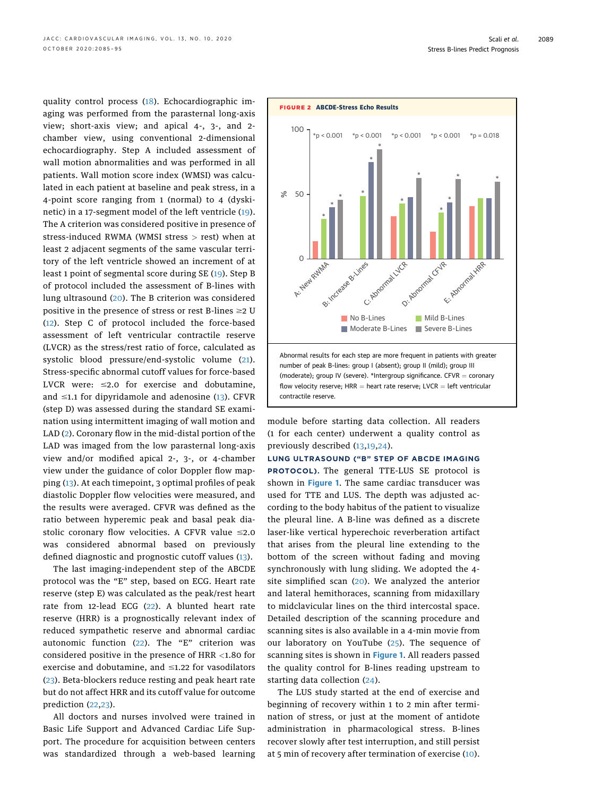<span id="page-4-0"></span>quality control process ([18\)](#page-10-6). Echocardiographic imaging was performed from the parasternal long-axis view; short-axis view; and apical 4-, 3-, and 2 chamber view, using conventional 2-dimensional echocardiography. Step A included assessment of wall motion abnormalities and was performed in all patients. Wall motion score index (WMSI) was calculated in each patient at baseline and peak stress, in a 4-point score ranging from 1 (normal) to 4 (dyskinetic) in a 17-segment model of the left ventricle ([19\)](#page-10-7). The A criterion was considered positive in presence of stress-induced RWMA (WMSI stress > rest) when at least 2 adjacent segments of the same vascular territory of the left ventricle showed an increment of at least 1 point of segmental score during SE ([19](#page-10-7)). Step B of protocol included the assessment of B-lines with lung ultrasound ([20](#page-10-8)). The B criterion was considered positive in the presence of stress or rest B-lines  $\geq$  U ([12](#page-10-1)). Step C of protocol included the force-based assessment of left ventricular contractile reserve (LVCR) as the stress/rest ratio of force, calculated as systolic blood pressure/end-systolic volume ([21\)](#page-10-9). Stress-specific abnormal cutoff values for force-based LVCR were:  $\leq$ 2.0 for exercise and dobutamine, and  $\leq$ 1.1 for dipyridamole and adenosine ([13](#page-10-10)). CFVR (step D) was assessed during the standard SE examination using intermittent imaging of wall motion and LAD ([2](#page-9-1)). Coronary flow in the mid-distal portion of the LAD was imaged from the low parasternal long-axis view and/or modified apical 2-, 3-, or 4-chamber view under the guidance of color Doppler flow mapping ([13\)](#page-10-10). At each timepoint, 3 optimal profiles of peak diastolic Doppler flow velocities were measured, and the results were averaged. CFVR was defined as the ratio between hyperemic peak and basal peak diastolic coronary flow velocities. A CFVR value  $\leq 2.0$ was considered abnormal based on previously defined diagnostic and prognostic cutoff values ([13](#page-10-10)).

The last imaging-independent step of the ABCDE protocol was the "E" step, based on ECG. Heart rate reserve (step E) was calculated as the peak/rest heart rate from 12-lead ECG ([22](#page-10-11)). A blunted heart rate reserve (HRR) is a prognostically relevant index of reduced sympathetic reserve and abnormal cardiac autonomic function ([22](#page-10-11)). The "E" criterion was considered positive in the presence of HRR <1.80 for exercise and dobutamine, and  $\leq$ 1.22 for vasodilators ([23](#page-10-12)). Beta-blockers reduce resting and peak heart rate but do not affect HRR and its cutoff value for outcome prediction ([22,](#page-10-11)[23\)](#page-10-12).

All doctors and nurses involved were trained in Basic Life Support and Advanced Cardiac Life Support. The procedure for acquisition between centers was standardized through a web-based learning



module before starting data collection. All readers (1 for each center) underwent a quality control as previously described ([13,](#page-10-10)[19,](#page-10-7)[24\)](#page-10-13).

LUNG ULTRASOUND ("B" STEP OF ABCDE IMAGING PROTOCOL). The general TTE-LUS SE protocol is shown in [Figure 1](#page-2-0). The same cardiac transducer was used for TTE and LUS. The depth was adjusted according to the body habitus of the patient to visualize the pleural line. A B-line was defined as a discrete laser-like vertical hyperechoic reverberation artifact that arises from the pleural line extending to the bottom of the screen without fading and moving synchronously with lung sliding. We adopted the 4 site simplified scan ([20](#page-10-8)). We analyzed the anterior and lateral hemithoraces, scanning from midaxillary to midclavicular lines on the third intercostal space. Detailed description of the scanning procedure and scanning sites is also available in a 4-min movie from our laboratory on YouTube ([25](#page-10-14)). The sequence of scanning sites is shown in **[Figure 1](#page-2-0).** All readers passed the quality control for B-lines reading upstream to starting data collection ([24](#page-10-13)).

The LUS study started at the end of exercise and beginning of recovery within 1 to 2 min after termination of stress, or just at the moment of antidote administration in pharmacological stress. B-lines recover slowly after test interruption, and still persist at 5 min of recovery after termination of exercise [\(10](#page-9-5)).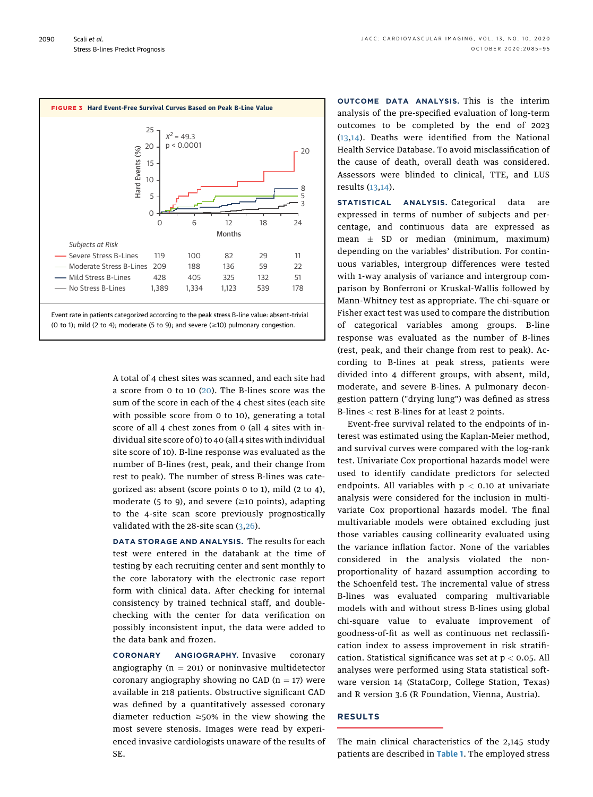<span id="page-5-0"></span>

A total of 4 chest sites was scanned, and each site had a score from 0 to 10 [\(20\)](#page-10-8). The B-lines score was the sum of the score in each of the 4 chest sites (each site with possible score from 0 to 10), generating a total score of all 4 chest zones from 0 (all 4 sites with individual site score of 0) to 40 (all 4 sites with individual site score of 10). B-line response was evaluated as the number of B-lines (rest, peak, and their change from rest to peak). The number of stress B-lines was categorized as: absent (score points 0 to 1), mild (2 to 4), moderate (5 to 9), and severe ( $\geq$ 10 points), adapting to the 4-site scan score previously prognostically validated with the 28-site scan ([3](#page-9-6),[26\)](#page-10-15).

DATA STORAGE AND ANALYSIS. The results for each test were entered in the databank at the time of testing by each recruiting center and sent monthly to the core laboratory with the electronic case report form with clinical data. After checking for internal consistency by trained technical staff, and doublechecking with the center for data verification on possibly inconsistent input, the data were added to the data bank and frozen.

CORONARY ANGIOGRAPHY. Invasive coronary angiography ( $n = 201$ ) or noninvasive multidetector coronary angiography showing no CAD  $(n = 17)$  were available in 218 patients. Obstructive significant CAD was defined by a quantitatively assessed coronary diameter reduction  $\geq$ 50% in the view showing the most severe stenosis. Images were read by experienced invasive cardiologists unaware of the results of SE.

OUTCOME DATA ANALYSIS. This is the interim analysis of the pre-specified evaluation of long-term outcomes to be completed by the end of 2023 ([13,](#page-10-10)[14\)](#page-10-2). Deaths were identified from the National Health Service Database. To avoid misclassification of the cause of death, overall death was considered. Assessors were blinded to clinical, TTE, and LUS results [\(13](#page-10-10),[14](#page-10-2)).

STATISTICAL ANALYSIS. Categorical data are expressed in terms of number of subjects and percentage, and continuous data are expressed as mean  $\pm$  SD or median (minimum, maximum) depending on the variables' distribution. For continuous variables, intergroup differences were tested with 1-way analysis of variance and intergroup comparison by Bonferroni or Kruskal-Wallis followed by Mann-Whitney test as appropriate. The chi-square or Fisher exact test was used to compare the distribution of categorical variables among groups. B-line response was evaluated as the number of B-lines (rest, peak, and their change from rest to peak). According to B-lines at peak stress, patients were divided into 4 different groups, with absent, mild, moderate, and severe B-lines. A pulmonary decongestion pattern ("drying lung") was defined as stress B-lines < rest B-lines for at least 2 points.

Event-free survival related to the endpoints of interest was estimated using the Kaplan-Meier method, and survival curves were compared with the log-rank test. Univariate Cox proportional hazards model were used to identify candidate predictors for selected endpoints. All variables with  $p < 0.10$  at univariate analysis were considered for the inclusion in multivariate Cox proportional hazards model. The final multivariable models were obtained excluding just those variables causing collinearity evaluated using the variance inflation factor. None of the variables considered in the analysis violated the nonproportionality of hazard assumption according to the Schoenfeld test. The incremental value of stress B-lines was evaluated comparing multivariable models with and without stress B-lines using global chi-square value to evaluate improvement of goodness-of-fit as well as continuous net reclassification index to assess improvement in risk stratification. Statistical significance was set at  $p < 0.05$ . All analyses were performed using Stata statistical software version 14 (StataCorp, College Station, Texas) and R version 3.6 (R Foundation, Vienna, Austria).

## RESULTS

The main clinical characteristics of the 2,145 study patients are described in [Table 1](#page-3-0). The employed stress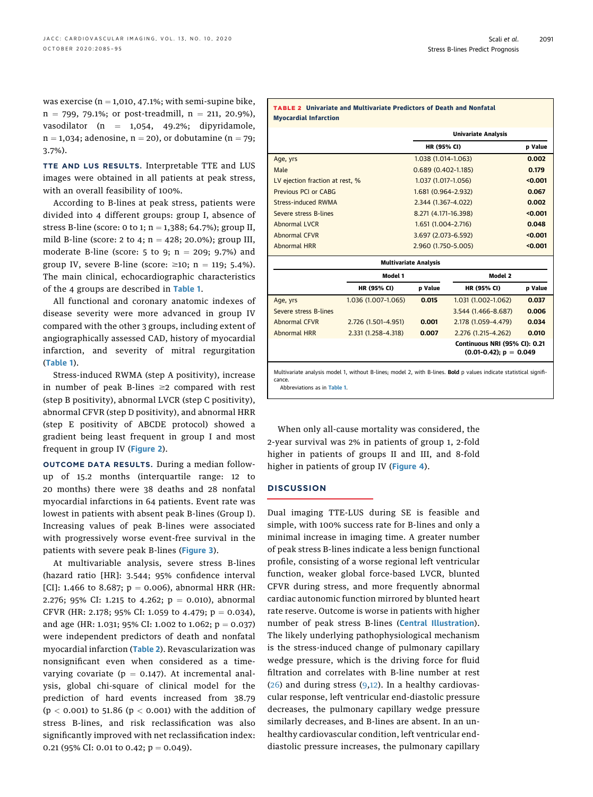was exercise ( $n = 1,010, 47.1\%$ ; with semi-supine bike,  $n = 799, 79.1\%$ ; or post-treadmill,  $n = 211, 20.9\%$ ), vasodilator (n =  $1,054$ , 49.2%; dipyridamole,  $n = 1,034$ ; adenosine,  $n = 20$ ), or dobutamine ( $n = 79$ ; 3.7%).

TTE AND LUS RESULTS. Interpretable TTE and LUS images were obtained in all patients at peak stress, with an overall feasibility of 100%.

According to B-lines at peak stress, patients were divided into 4 different groups: group I, absence of stress B-line (score: 0 to 1;  $n = 1,388$ ; 64.7%); group II, mild B-line (score: 2 to 4;  $n = 428$ ; 20.0%); group III, moderate B-line (score: 5 to 9;  $n = 209$ ; 9.7%) and group IV, severe B-line (score:  $\geq 10$ ; n = 119; 5.4%). The main clinical, echocardiographic characteristics of the 4 groups are described in [Table 1](#page-3-0).

All functional and coronary anatomic indexes of disease severity were more advanced in group IV compared with the other 3 groups, including extent of angiographically assessed CAD, history of myocardial infarction, and severity of mitral regurgitation ([Table 1](#page-3-0)).

Stress-induced RWMA (step A positivity), increase in number of peak B-lines  $\geq 2$  compared with rest (step B positivity), abnormal LVCR (step C positivity), abnormal CFVR (step D positivity), and abnormal HRR (step E positivity of ABCDE protocol) showed a gradient being least frequent in group I and most frequent in group IV ([Figure 2](#page-4-0)).

OUTCOME DATA RESULTS. During a median followup of 15.2 months (interquartile range: 12 to 20 months) there were 38 deaths and 28 nonfatal myocardial infarctions in 64 patients. Event rate was lowest in patients with absent peak B-lines (Group I). Increasing values of peak B-lines were associated with progressively worse event-free survival in the patients with severe peak B-lines ([Figure 3](#page-5-0)).

At multivariable analysis, severe stress B-lines (hazard ratio [HR]: 3.544; 95% confidence interval [CI]: 1.466 to 8.687;  $p = 0.006$ ), abnormal HRR (HR: 2.276; 95% CI: 1.215 to 4.262;  $p = 0.010$ ), abnormal CFVR (HR: 2.178; 95% CI: 1.059 to 4.479;  $p = 0.034$ ), and age (HR: 1.031; 95% CI: 1.002 to 1.062;  $p = 0.037$ ) were independent predictors of death and nonfatal myocardial infarction (Table 2). Revascularization was nonsignificant even when considered as a timevarying covariate ( $p = 0.147$ ). At incremental analysis, global chi-square of clinical model for the prediction of hard events increased from 38.79 ( $p < 0.001$ ) to 51.86 ( $p < 0.001$ ) with the addition of stress B-lines, and risk reclassification was also significantly improved with net reclassification index: 0.21 (95% CI: 0.01 to 0.42;  $p = 0.049$ ).

| <b>TABLE 2 Univariate and Multivariate Predictors of Death and Nonfatal</b><br><b>Myocardial Infarction</b> |                     |                              |                                                            |                |  |
|-------------------------------------------------------------------------------------------------------------|---------------------|------------------------------|------------------------------------------------------------|----------------|--|
|                                                                                                             |                     | <b>Univariate Analysis</b>   |                                                            |                |  |
|                                                                                                             |                     | <b>HR (95% CI)</b>           |                                                            | <b>p</b> Value |  |
| Age, yrs                                                                                                    |                     | 1.038 (1.014-1.063)          |                                                            | 0.002          |  |
| Male                                                                                                        |                     | $0.689(0.402 - 1.185)$       | 0.179                                                      |                |  |
| LV ejection fraction at rest, %                                                                             |                     | 1.037 (1.017-1.056)          | < 0.001                                                    |                |  |
| Previous PCI or CABG                                                                                        |                     | 1.681 (0.964-2.932)          | 0.067                                                      |                |  |
| <b>Stress-induced RWMA</b>                                                                                  |                     | 2.344 (1.367-4.022)          | 0.002                                                      |                |  |
| Severe stress B-lines                                                                                       |                     | 8.271 (4.171-16.398)         | < 0.001                                                    |                |  |
| Abnormal LVCR                                                                                               |                     | 1.651 (1.004-2.716)          | 0.048                                                      |                |  |
| <b>Abnormal CFVR</b>                                                                                        |                     | 3.697 (2.073-6.592)          | < 0.001                                                    |                |  |
| <b>Abnormal HRR</b>                                                                                         |                     | 2.960 (1.750-5.005)          | < 0.001                                                    |                |  |
|                                                                                                             |                     | <b>Multivariate Analysis</b> |                                                            |                |  |
|                                                                                                             | Model 1             |                              | Model 2                                                    |                |  |
|                                                                                                             | HR (95% CI)         | p Value                      | HR (95% CI)                                                | p Value        |  |
| Age, yrs                                                                                                    | 1.036 (1.007-1.065) | 0.015                        | 1.031 (1.002-1.062)                                        | 0.037          |  |
| Severe stress B-lines                                                                                       |                     |                              | 3.544 (1.466-8.687)                                        | 0.006          |  |
| <b>Abnormal CFVR</b>                                                                                        | 2.726 (1.501-4.951) | 0.001                        | 2.178 (1.059-4.479)                                        | 0.034          |  |
| <b>Abnormal HRR</b>                                                                                         | 2.331 (1.258-4.318) | 0.007                        | 2.276 (1.215-4.262)                                        | 0.010          |  |
|                                                                                                             |                     |                              | Continuous NRI (95% CI): 0.21<br>$(0.01-0.42)$ ; p = 0.049 |                |  |

Multivariate analysis model 1, without B-lines; model 2, with B-lines. Bold p values indicate statistical significance. Abbreviations as in [Table 1](#page-3-0).

When only all-cause mortality was considered, the 2-year survival was 2% in patients of group 1, 2-fold higher in patients of groups II and III, and 8-fold higher in patients of group IV ([Figure 4](#page-7-0)).

#### **DISCUSSION**

Dual imaging TTE-LUS during SE is feasible and simple, with 100% success rate for B-lines and only a minimal increase in imaging time. A greater number of peak stress B-lines indicate a less benign functional profile, consisting of a worse regional left ventricular function, weaker global force-based LVCR, blunted CFVR during stress, and more frequently abnormal cardiac autonomic function mirrored by blunted heart rate reserve. Outcome is worse in patients with higher number of peak stress B-lines ([Central Illustration](#page-8-0)). The likely underlying pathophysiological mechanism is the stress-induced change of pulmonary capillary wedge pressure, which is the driving force for fluid filtration and correlates with B-line number at rest  $(26)$  $(26)$  and during stress  $(9,12)$  $(9,12)$  $(9,12)$ . In a healthy cardiovascular response, left ventricular end-diastolic pressure decreases, the pulmonary capillary wedge pressure similarly decreases, and B-lines are absent. In an unhealthy cardiovascular condition, left ventricular enddiastolic pressure increases, the pulmonary capillary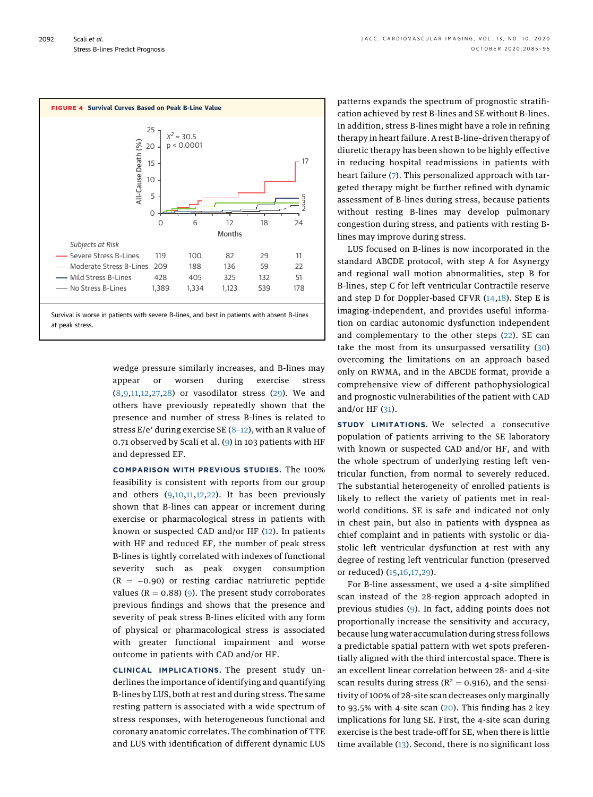<span id="page-7-0"></span>

wedge pressure similarly increases, and B-lines may appear or worsen during exercise stress ([8,](#page-9-3)[9](#page-9-4)[,11](#page-10-0),[12](#page-10-1)[,27,](#page-10-16)[28\)](#page-10-17) or vasodilator stress [\(29\)](#page-10-18). We and others have previously repeatedly shown that the presence and number of stress B-lines is related to stress  $E/e'$  during exercise SE  $(8-12)$  $(8-12)$  $(8-12)$ , with an R value of 0.71 observed by Scali et al. ([9](#page-9-4)) in 103 patients with HF and depressed EF.

COMPARISON WITH PREVIOUS STUDIES. The 100% feasibility is consistent with reports from our group and others  $(9,10,11,12,22)$  $(9,10,11,12,22)$  $(9,10,11,12,22)$  $(9,10,11,12,22)$  $(9,10,11,12,22)$  $(9,10,11,12,22)$  $(9,10,11,12,22)$  $(9,10,11,12,22)$ . It has been previously shown that B-lines can appear or increment during exercise or pharmacological stress in patients with known or suspected CAD and/or HF [\(12](#page-10-1)). In patients with HF and reduced EF, the number of peak stress B-lines is tightly correlated with indexes of functional severity such as peak oxygen consumption  $(R = -0.90)$  or resting cardiac natriuretic peptide values ( $R = 0.88$ ) ([9\)](#page-9-4). The present study corroborates previous findings and shows that the presence and severity of peak stress B-lines elicited with any form of physical or pharmacological stress is associated with greater functional impairment and worse outcome in patients with CAD and/or HF.

CLINICAL IMPLICATIONS. The present study underlines the importance of identifying and quantifying B-lines by LUS, both at rest and during stress. The same resting pattern is associated with a wide spectrum of stress responses, with heterogeneous functional and coronary anatomic correlates. The combination of TTE and LUS with identification of different dynamic LUS

patterns expands the spectrum of prognostic stratification achieved by rest B-lines and SE without B-lines. In addition, stress B-lines might have a role in refining therapy in heart failure. A rest B-line–driven therapy of diuretic therapy has been shown to be highly effective in reducing hospital readmissions in patients with heart failure ([7\)](#page-9-2). This personalized approach with targeted therapy might be further refined with dynamic assessment of B-lines during stress, because patients without resting B-lines may develop pulmonary congestion during stress, and patients with resting Blines may improve during stress.

LUS focused on B-lines is now incorporated in the standard ABCDE protocol, with step A for Asynergy and regional wall motion abnormalities, step B for B-lines, step C for left ventricular Contractile reserve and step D for Doppler-based CFVR ([14](#page-10-2),[18](#page-10-6)). Step E is imaging-independent, and provides useful information on cardiac autonomic dysfunction independent and complementary to the other steps ([22](#page-10-11)). SE can take the most from its unsurpassed versatility ([30](#page-10-19)) overcoming the limitations on an approach based only on RWMA, and in the ABCDE format, provide a comprehensive view of different pathophysiological and prognostic vulnerabilities of the patient with CAD and/or HF  $(31)$  $(31)$ .

STUDY LIMITATIONS. We selected a consecutive population of patients arriving to the SE laboratory with known or suspected CAD and/or HF, and with the whole spectrum of underlying resting left ventricular function, from normal to severely reduced. The substantial heterogeneity of enrolled patients is likely to reflect the variety of patients met in realworld conditions. SE is safe and indicated not only in chest pain, but also in patients with dyspnea as chief complaint and in patients with systolic or diastolic left ventricular dysfunction at rest with any degree of resting left ventricular function (preserved or reduced) ([15](#page-10-3),[16](#page-10-4)[,17](#page-10-5),[29\)](#page-10-18).

For B-line assessment, we used a 4-site simplified scan instead of the 28-region approach adopted in previous studies [\(9](#page-9-4)). In fact, adding points does not proportionally increase the sensitivity and accuracy, because lung water accumulation during stress follows a predictable spatial pattern with wet spots preferentially aligned with the third intercostal space. There is an excellent linear correlation between 28- and 4-site scan results during stress ( $R^2 = 0.916$ ), and the sensitivity of 100% of 28-site scan decreases only marginally to 93.5% with 4-site scan  $(20)$ . This finding has 2 key implications for lung SE. First, the 4-site scan during exercise is the best trade-off for SE, when there is little time available ([13\)](#page-10-10). Second, there is no significant loss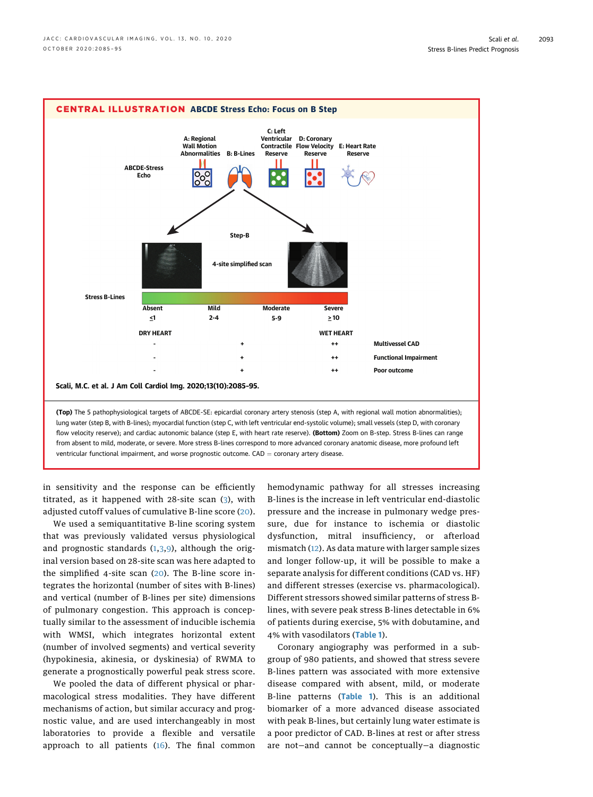<span id="page-8-0"></span>

in sensitivity and the response can be efficiently titrated, as it happened with 28-site scan ([3](#page-9-6)), with adjusted cutoff values of cumulative B-line score ([20\)](#page-10-8).

We used a semiquantitative B-line scoring system that was previously validated versus physiological and prognostic standards  $(1,3,9)$  $(1,3,9)$  $(1,3,9)$  $(1,3,9)$  $(1,3,9)$  $(1,3,9)$ , although the original version based on 28-site scan was here adapted to the simplified 4-site scan ([20](#page-10-8)). The B-line score integrates the horizontal (number of sites with B-lines) and vertical (number of B-lines per site) dimensions of pulmonary congestion. This approach is conceptually similar to the assessment of inducible ischemia with WMSI, which integrates horizontal extent (number of involved segments) and vertical severity (hypokinesia, akinesia, or dyskinesia) of RWMA to generate a prognostically powerful peak stress score.

We pooled the data of different physical or pharmacological stress modalities. They have different mechanisms of action, but similar accuracy and prognostic value, and are used interchangeably in most laboratories to provide a flexible and versatile approach to all patients  $(16)$  $(16)$  $(16)$ . The final common hemodynamic pathway for all stresses increasing B-lines is the increase in left ventricular end-diastolic pressure and the increase in pulmonary wedge pressure, due for instance to ischemia or diastolic dysfunction, mitral insufficiency, or afterload mismatch [\(12](#page-10-1)). As data mature with larger sample sizes and longer follow-up, it will be possible to make a separate analysis for different conditions (CAD vs. HF) and different stresses (exercise vs. pharmacological). Different stressors showed similar patterns of stress Blines, with severe peak stress B-lines detectable in 6% of patients during exercise, 5% with dobutamine, and 4% with vasodilators ([Table 1](#page-3-0)).

Coronary angiography was performed in a subgroup of 980 patients, and showed that stress severe B-lines pattern was associated with more extensive disease compared with absent, mild, or moderate B-line patterns ([Table 1](#page-3-0)). This is an additional biomarker of a more advanced disease associated with peak B-lines, but certainly lung water estimate is a poor predictor of CAD. B-lines at rest or after stress are not—and cannot be conceptually—a diagnostic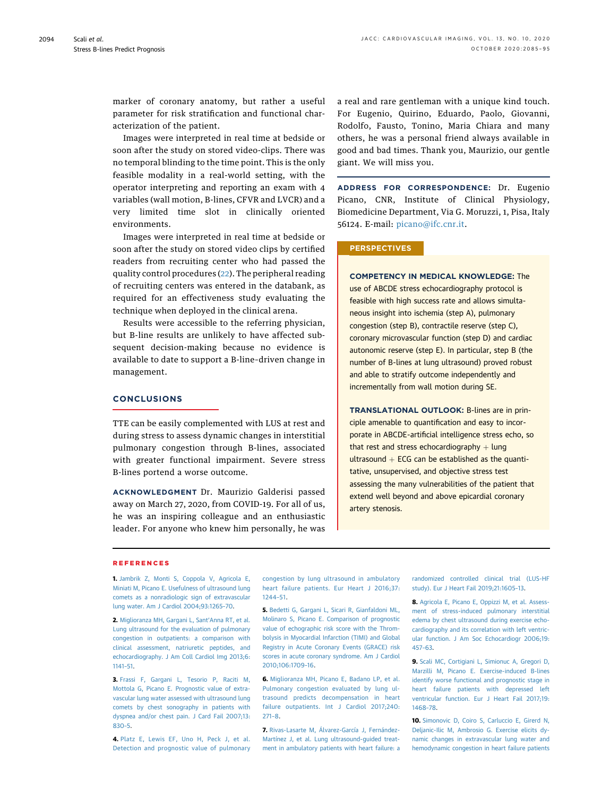marker of coronary anatomy, but rather a useful parameter for risk stratification and functional characterization of the patient.

Images were interpreted in real time at bedside or soon after the study on stored video-clips. There was no temporal blinding to the time point. This is the only feasible modality in a real-world setting, with the operator interpreting and reporting an exam with 4 variables (wall motion, B-lines, CFVR and LVCR) and a very limited time slot in clinically oriented environments.

Images were interpreted in real time at bedside or soon after the study on stored video clips by certified readers from recruiting center who had passed the quality control procedures [\(22\)](#page-10-11). The peripheral reading of recruiting centers was entered in the databank, as required for an effectiveness study evaluating the technique when deployed in the clinical arena.

Results were accessible to the referring physician, but B-line results are unlikely to have affected subsequent decision-making because no evidence is available to date to support a B-line–driven change in management.

# **CONCLUSIONS**

TTE can be easily complemented with LUS at rest and during stress to assess dynamic changes in interstitial pulmonary congestion through B-lines, associated with greater functional impairment. Severe stress B-lines portend a worse outcome.

ACKNOWLEDGMENT Dr. Maurizio Galderisi passed away on March 27, 2020, from COVID-19. For all of us, he was an inspiring colleague and an enthusiastic leader. For anyone who knew him personally, he was a real and rare gentleman with a unique kind touch. For Eugenio, Quirino, Eduardo, Paolo, Giovanni, Rodolfo, Fausto, Tonino, Maria Chiara and many others, he was a personal friend always available in good and bad times. Thank you, Maurizio, our gentle giant. We will miss you.

ADDRESS FOR CORRESPONDENCE: Dr. Eugenio Picano, CNR, Institute of Clinical Physiology, Biomedicine Department, Via G. Moruzzi, 1, Pisa, Italy 56124. E-mail: [picano@ifc.cnr.it.](mailto:picano@ifc.cnr.it)

#### **PERSPECTIVES**

COMPETENCY IN MEDICAL KNOWLEDGE: The use of ABCDE stress echocardiography protocol is feasible with high success rate and allows simultaneous insight into ischemia (step A), pulmonary congestion (step B), contractile reserve (step C), coronary microvascular function (step D) and cardiac autonomic reserve (step E). In particular, step B (the number of B-lines at lung ultrasound) proved robust and able to stratify outcome independently and incrementally from wall motion during SE.

TRANSLATIONAL OUTLOOK: B-lines are in principle amenable to quantification and easy to incorporate in ABCDE-artificial intelligence stress echo, so that rest and stress echocardiography  $+$  lung ultrasound  $+$  ECG can be established as the quantitative, unsupervised, and objective stress test assessing the many vulnerabilities of the patient that extend well beyond and above epicardial coronary artery stenosis.

#### REFERENCES

<span id="page-9-0"></span>1. [Jambrik Z, Monti S, Coppola V, Agricola E,](http://refhub.elsevier.com/S1936-878X(20)30410-1/sref1) [Miniati M, Picano E. Usefulness of ultrasound lung](http://refhub.elsevier.com/S1936-878X(20)30410-1/sref1) [comets as a nonradiologic sign of extravascular](http://refhub.elsevier.com/S1936-878X(20)30410-1/sref1) [lung water. Am J Cardiol 2004;93:1265](http://refhub.elsevier.com/S1936-878X(20)30410-1/sref1)–70.

<span id="page-9-1"></span>2. [Miglioranza MH, Gargani L, Sant](http://refhub.elsevier.com/S1936-878X(20)30410-1/sref2)'Anna RT, et al. [Lung ultrasound for the evaluation of pulmonary](http://refhub.elsevier.com/S1936-878X(20)30410-1/sref2) [congestion in outpatients: a comparison with](http://refhub.elsevier.com/S1936-878X(20)30410-1/sref2) [clinical assessment, natriuretic peptides, and](http://refhub.elsevier.com/S1936-878X(20)30410-1/sref2) [echocardiography. J Am Coll Cardiol Img 2013;6:](http://refhub.elsevier.com/S1936-878X(20)30410-1/sref2) [1141](http://refhub.elsevier.com/S1936-878X(20)30410-1/sref2)–51.

<span id="page-9-6"></span>3. [Frassi F, Gargani L, Tesorio P, Raciti M,](http://refhub.elsevier.com/S1936-878X(20)30410-1/sref3) [Mottola G, Picano E. Prognostic value of extra](http://refhub.elsevier.com/S1936-878X(20)30410-1/sref3)[vascular lung water assessed with ultrasound lung](http://refhub.elsevier.com/S1936-878X(20)30410-1/sref3) [comets by chest sonography in patients with](http://refhub.elsevier.com/S1936-878X(20)30410-1/sref3) [dyspnea and/or chest pain. J Card Fail 2007;13:](http://refhub.elsevier.com/S1936-878X(20)30410-1/sref3) [830](http://refhub.elsevier.com/S1936-878X(20)30410-1/sref3)–5.

4. [Platz E, Lewis EF, Uno H, Peck J, et al.](http://refhub.elsevier.com/S1936-878X(20)30410-1/sref4) [Detection and prognostic value of pulmonary](http://refhub.elsevier.com/S1936-878X(20)30410-1/sref4)

[congestion by lung ultrasound in ambulatory](http://refhub.elsevier.com/S1936-878X(20)30410-1/sref4) [heart failure patients. Eur Heart J 2016;37:](http://refhub.elsevier.com/S1936-878X(20)30410-1/sref4) [1244](http://refhub.elsevier.com/S1936-878X(20)30410-1/sref4)–51.

5. [Bedetti G, Gargani L, Sicari R, Gianfaldoni ML,](http://refhub.elsevier.com/S1936-878X(20)30410-1/sref5) [Molinaro S, Picano E. Comparison of prognostic](http://refhub.elsevier.com/S1936-878X(20)30410-1/sref5) [value of echographic risk score with the Throm](http://refhub.elsevier.com/S1936-878X(20)30410-1/sref5)[bolysis in Myocardial Infarction \(TIMI\) and Global](http://refhub.elsevier.com/S1936-878X(20)30410-1/sref5) [Registry in Acute Coronary Events \(GRACE\) risk](http://refhub.elsevier.com/S1936-878X(20)30410-1/sref5) [scores in acute coronary syndrome. Am J Cardiol](http://refhub.elsevier.com/S1936-878X(20)30410-1/sref5) [2010;106:1709](http://refhub.elsevier.com/S1936-878X(20)30410-1/sref5)–16.

6. [Miglioranza MH, Picano E, Badano LP, et al.](http://refhub.elsevier.com/S1936-878X(20)30410-1/sref6) [Pulmonary congestion evaluated by lung ul](http://refhub.elsevier.com/S1936-878X(20)30410-1/sref6)[trasound predicts decompensation in heart](http://refhub.elsevier.com/S1936-878X(20)30410-1/sref6) [failure outpatients. Int J Cardiol 2017;240:](http://refhub.elsevier.com/S1936-878X(20)30410-1/sref6) [271](http://refhub.elsevier.com/S1936-878X(20)30410-1/sref6)–8.

<span id="page-9-2"></span>7. [Rivas-Lasarte M, Álvarez-García J, Fernández-](http://refhub.elsevier.com/S1936-878X(20)30410-1/sref7)[Martínez J, et al. Lung ultrasound-guided treat](http://refhub.elsevier.com/S1936-878X(20)30410-1/sref7)[ment in ambulatory patients with heart failure: a](http://refhub.elsevier.com/S1936-878X(20)30410-1/sref7) [randomized controlled clinical trial \(LUS-HF](http://refhub.elsevier.com/S1936-878X(20)30410-1/sref7) [study\). Eur J Heart Fail 2019;21:1605](http://refhub.elsevier.com/S1936-878X(20)30410-1/sref7)–13.

<span id="page-9-3"></span>8. [Agricola E, Picano E, Oppizzi M, et al. Assess](http://refhub.elsevier.com/S1936-878X(20)30410-1/sref8)[ment of stress-induced pulmonary interstitial](http://refhub.elsevier.com/S1936-878X(20)30410-1/sref8) [edema by chest ultrasound during exercise echo](http://refhub.elsevier.com/S1936-878X(20)30410-1/sref8)[cardiography and its correlation with left ventric](http://refhub.elsevier.com/S1936-878X(20)30410-1/sref8)[ular function. J Am Soc Echocardiogr 2006;19:](http://refhub.elsevier.com/S1936-878X(20)30410-1/sref8) [457](http://refhub.elsevier.com/S1936-878X(20)30410-1/sref8)–63.

<span id="page-9-4"></span>9. [Scali MC, Cortigiani L, Simionuc A, Gregori D,](http://refhub.elsevier.com/S1936-878X(20)30410-1/sref9) [Marzilli M, Picano E. Exercise-induced B-lines](http://refhub.elsevier.com/S1936-878X(20)30410-1/sref9) [identify worse functional and prognostic stage in](http://refhub.elsevier.com/S1936-878X(20)30410-1/sref9) [heart failure patients with depressed left](http://refhub.elsevier.com/S1936-878X(20)30410-1/sref9) [ventricular function. Eur J Heart Fail 2017;19:](http://refhub.elsevier.com/S1936-878X(20)30410-1/sref9) [1468](http://refhub.elsevier.com/S1936-878X(20)30410-1/sref9)–78.

<span id="page-9-5"></span>10. [Simonovic D, Coiro S, Carluccio E, Girerd N,](http://refhub.elsevier.com/S1936-878X(20)30410-1/sref10) [Deljanic-Ilic M, Ambrosio G. Exercise elicits dy](http://refhub.elsevier.com/S1936-878X(20)30410-1/sref10)[namic changes in extravascular lung water and](http://refhub.elsevier.com/S1936-878X(20)30410-1/sref10) [hemodynamic congestion in heart failure patients](http://refhub.elsevier.com/S1936-878X(20)30410-1/sref10)